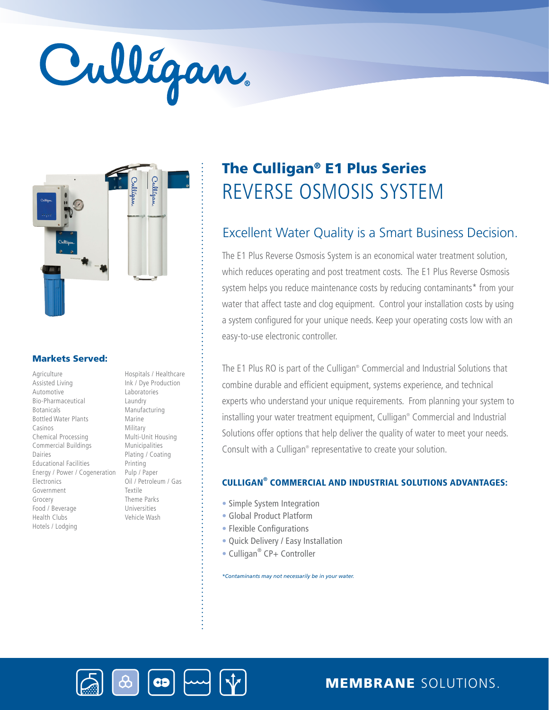# Culligan.



## Markets Served:

Agriculture Assisted Living Automotive Bio-Pharmaceutical Botanicals Bottled Water Plants Casinos Chemical Processing Commercial Buildings Dairies Educational Facilities Energy / Power / Cogeneration Electronics Government Grocery Food / Beverage Health Clubs Hotels / Lodging

Ink / Dye Production Laboratories Laundry Manufacturing Marine Military Multi-Unit Housing Municipalities Plating / Coating Printing Pulp / Paper Oil / Petroleum / Gas Textile Theme Parks Universities Vehicle Wash

**GB** 

Hospitals / Healthcare

# REVERSE OSMOSIS SYSTEM The Culligan® E1 Plus Series

## Excellent Water Quality is a Smart Business Decision.

The E1 Plus Reverse Osmosis System is an economical water treatment solution, which reduces operating and post treatment costs. The E1 Plus Reverse Osmosis system helps you reduce maintenance costs by reducing contaminants\* from your water that affect taste and clog equipment. Control your installation costs by using a system configured for your unique needs. Keep your operating costs low with an easy-to-use electronic controller.

The E1 Plus RO is part of the Culligan® Commercial and Industrial Solutions that combine durable and efficient equipment, systems experience, and technical experts who understand your unique requirements. From planning your system to installing your water treatment equipment, Culligan® Commercial and Industrial Solutions offer options that help deliver the quality of water to meet your needs. Consult with a Culligan<sup>®</sup> representative to create your solution.

## CULLIGAN® COMMERCIAL AND INDUSTRIAL SOLUTIONS ADVANTAGES:

- Simple System Integration
- Global Product Platform
- Flexible Configurations
- Quick Delivery / Easy Installation
- Culligan<sup>®</sup> CP+ Controller

*\*Contaminants may not necessarily be in your water.*



MEMBRANE SOLUTIONS.